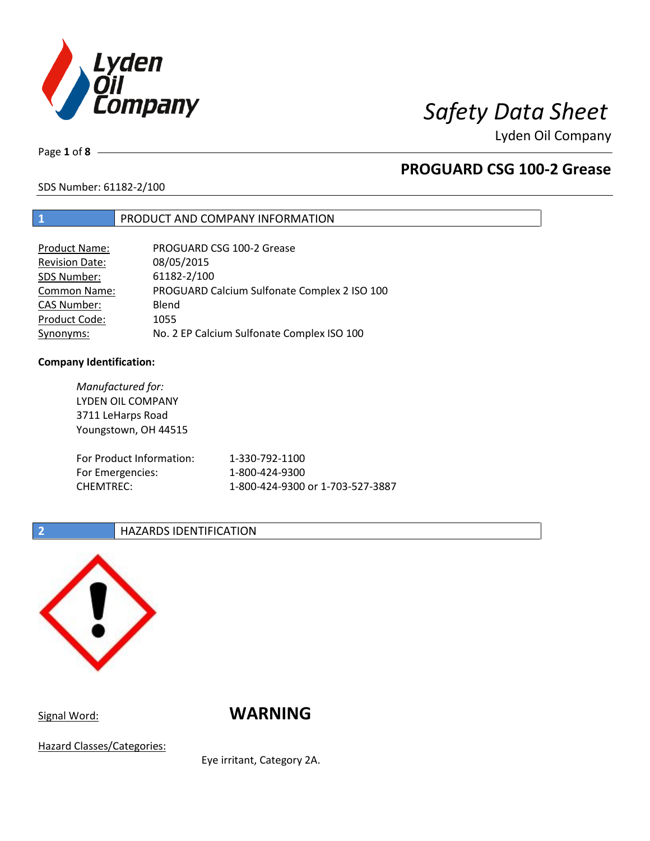

# *Safety Data Sheet*

Lyden Oil Company

Page **1** of **8**

## **PROGUARD CSG 100-2 Grease**

SDS Number: 61182-2/100

## **1** PRODUCT AND COMPANY INFORMATION

| <b>Product Name:</b>  | PROGUARD CSG 100-2 Grease                    |
|-----------------------|----------------------------------------------|
| <b>Revision Date:</b> | 08/05/2015                                   |
| SDS Number:           | 61182-2/100                                  |
| Common Name:          | PROGUARD Calcium Sulfonate Complex 2 ISO 100 |
| <b>CAS Number:</b>    | Blend                                        |
| Product Code:         | 1055                                         |
| Synonyms:             | No. 2 EP Calcium Sulfonate Complex ISO 100   |

### **Company Identification:**

| Manufactured for:<br>LYDEN OIL COMPANY<br>3711 LeHarps Road<br>Youngstown, OH 44515 |                                  |
|-------------------------------------------------------------------------------------|----------------------------------|
| For Product Information:                                                            | 1-330-792-1100                   |
| For Emergencies:                                                                    | 1-800-424-9300                   |
| <b>CHEMTREC:</b>                                                                    | 1-800-424-9300 or 1-703-527-3887 |

## **2 HAZARDS IDENTIFICATION**



Signal Word: **WARNING** 

Hazard Classes/Categories:

Eye irritant, Category 2A.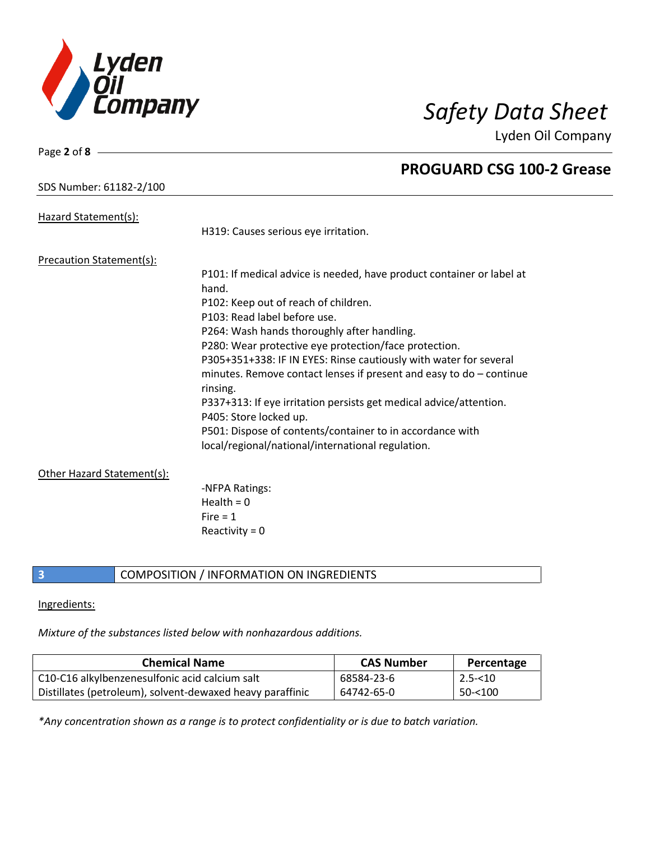

Lyden Oil Company

## SDS Number: 61182-2/100

Page **2** of **8**

| Hazard Statement(s):            |                                                                                              |
|---------------------------------|----------------------------------------------------------------------------------------------|
|                                 | H319: Causes serious eye irritation.                                                         |
| <b>Precaution Statement(s):</b> |                                                                                              |
|                                 | P101: If medical advice is needed, have product container or label at                        |
|                                 | hand.                                                                                        |
|                                 | P102: Keep out of reach of children.                                                         |
|                                 | P103: Read label before use.                                                                 |
|                                 | P264: Wash hands thoroughly after handling.                                                  |
|                                 | P280: Wear protective eye protection/face protection.                                        |
|                                 | P305+351+338: IF IN EYES: Rinse cautiously with water for several                            |
|                                 | minutes. Remove contact lenses if present and easy to $do$ – continue<br>rinsing.            |
|                                 | P337+313: If eye irritation persists get medical advice/attention.<br>P405: Store locked up. |
|                                 | P501: Dispose of contents/container to in accordance with                                    |
|                                 | local/regional/national/international regulation.                                            |
| Other Hazard Statement(s):      |                                                                                              |
|                                 | -NFPA Ratings:                                                                               |
|                                 | Health = $0$                                                                                 |
|                                 | Fire $= 1$                                                                                   |
|                                 | Reactivity = $0$                                                                             |

## **3** COMPOSITION / INFORMATION ON INGREDIENTS

### Ingredients:

*Mixture of the substances listed below with nonhazardous additions.*

| <b>Chemical Name</b>                                      | <b>CAS Number</b> | Percentage     |
|-----------------------------------------------------------|-------------------|----------------|
| C10-C16 alkylbenzenesulfonic acid calcium salt            | 68584-23-6        | $\mid$ 2.5-<10 |
| Distillates (petroleum), solvent-dewaxed heavy paraffinic | 64742-65-0        | 50-<100        |

*\*Any concentration shown as a range is to protect confidentiality or is due to batch variation.*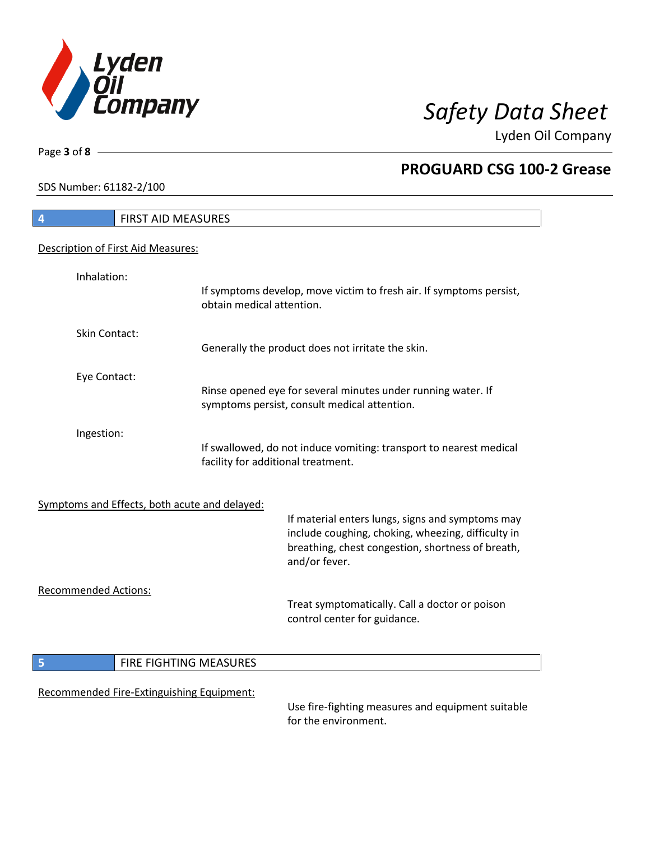

Lyden Oil Company

SDS Number: 61182-2/100

Page **3** of **8**

# **4** FIRST AID MEASURES Description of First Aid Measures: Inhalation: If symptoms develop, move victim to fresh air. If symptoms persist, obtain medical attention. Skin Contact: Generally the product does not irritate the skin. Eye Contact: Rinse opened eye for several minutes under running water. If symptoms persist, consult medical attention. Ingestion: If swallowed, do not induce vomiting: transport to nearest medical facility for additional treatment. Symptoms and Effects, both acute and delayed: If material enters lungs, signs and symptoms may include coughing, choking, wheezing, difficulty in breathing, chest congestion, shortness of breath, and/or fever. Recommended Actions: Treat symptomatically. Call a doctor or poison control center for guidance. **5 FIRE FIGHTING MEASURES** Recommended Fire-Extinguishing Equipment:

Use fire-fighting measures and equipment suitable for the environment.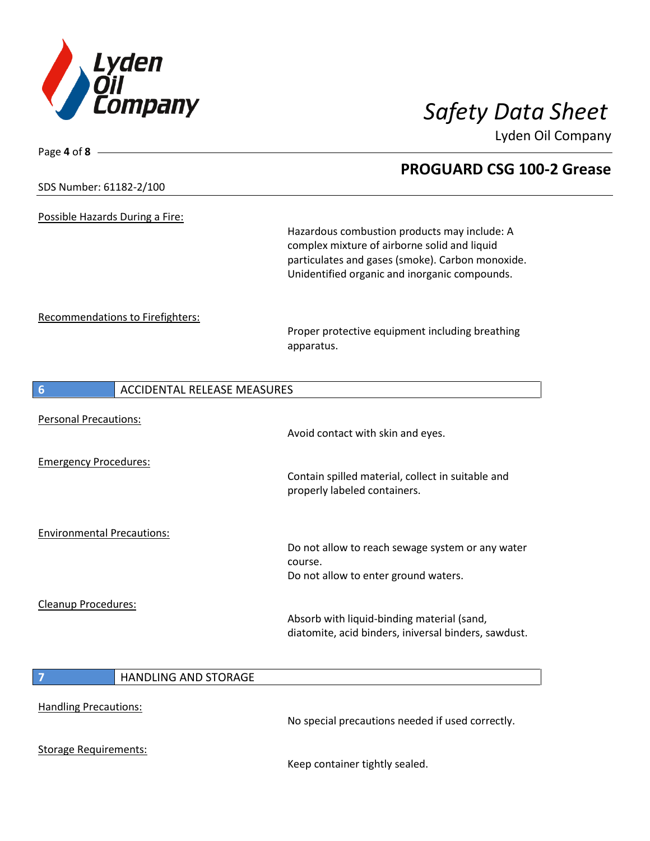

Lyden Oil Company

| Page 4 of 8 $-$                                       |                                                                                                                                                                                                   |
|-------------------------------------------------------|---------------------------------------------------------------------------------------------------------------------------------------------------------------------------------------------------|
|                                                       | <b>PROGUARD CSG 100-2 Grease</b>                                                                                                                                                                  |
| SDS Number: 61182-2/100                               |                                                                                                                                                                                                   |
| Possible Hazards During a Fire:                       |                                                                                                                                                                                                   |
|                                                       | Hazardous combustion products may include: A<br>complex mixture of airborne solid and liquid<br>particulates and gases (smoke). Carbon monoxide.<br>Unidentified organic and inorganic compounds. |
| Recommendations to Firefighters:                      |                                                                                                                                                                                                   |
|                                                       | Proper protective equipment including breathing<br>apparatus.                                                                                                                                     |
| <b>ACCIDENTAL RELEASE MEASURES</b><br>$6\phantom{1}6$ |                                                                                                                                                                                                   |
| <b>Personal Precautions:</b>                          |                                                                                                                                                                                                   |
|                                                       | Avoid contact with skin and eyes.                                                                                                                                                                 |
| <b>Emergency Procedures:</b>                          |                                                                                                                                                                                                   |
|                                                       | Contain spilled material, collect in suitable and<br>properly labeled containers.                                                                                                                 |
| <b>Environmental Precautions:</b>                     |                                                                                                                                                                                                   |
|                                                       | Do not allow to reach sewage system or any water<br>course.                                                                                                                                       |
|                                                       | Do not allow to enter ground waters.                                                                                                                                                              |
| <b>Cleanup Procedures:</b>                            |                                                                                                                                                                                                   |
|                                                       | Absorb with liquid-binding material (sand)<br>diatomite, acid binders, iniversal binders, sawdust.                                                                                                |
| HANDLING AND STORAGE<br>$\overline{7}$                |                                                                                                                                                                                                   |
|                                                       |                                                                                                                                                                                                   |
| <b>Handling Precautions:</b>                          | No special precautions needed if used correctly.                                                                                                                                                  |
| <b>Storage Requirements:</b>                          |                                                                                                                                                                                                   |

Keep container tightly sealed.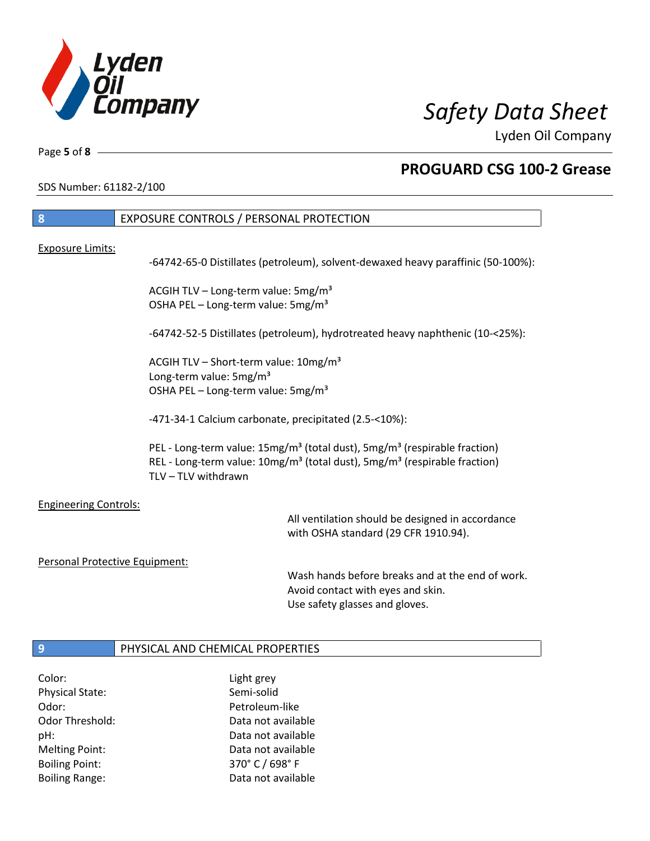

Lyden Oil Company

٦

Page **5** of **8**

## **PROGUARD CSG 100-2 Grease**

SDS Number: 61182-2/100

| 8                              | EXPOSURE CONTROLS / PERSONAL PROTECTION                                                                                                                                                                                       |
|--------------------------------|-------------------------------------------------------------------------------------------------------------------------------------------------------------------------------------------------------------------------------|
|                                |                                                                                                                                                                                                                               |
| <b>Exposure Limits:</b>        | -64742-65-0 Distillates (petroleum), solvent-dewaxed heavy paraffinic (50-100%):                                                                                                                                              |
|                                | ACGIH TLV - Long-term value: 5mg/m <sup>3</sup><br>OSHA PEL - Long-term value: 5mg/m <sup>3</sup>                                                                                                                             |
|                                | -64742-52-5 Distillates (petroleum), hydrotreated heavy naphthenic (10-<25%):                                                                                                                                                 |
|                                | ACGIH TLV - Short-term value: 10mg/m <sup>3</sup><br>Long-term value: 5mg/m <sup>3</sup><br>OSHA PEL - Long-term value: 5mg/m <sup>3</sup>                                                                                    |
|                                | -471-34-1 Calcium carbonate, precipitated (2.5-<10%):                                                                                                                                                                         |
|                                | PEL - Long-term value: 15mg/m <sup>3</sup> (total dust), 5mg/m <sup>3</sup> (respirable fraction)<br>REL - Long-term value: 10mg/m <sup>3</sup> (total dust), 5mg/m <sup>3</sup> (respirable fraction)<br>TLV - TLV withdrawn |
| <b>Engineering Controls:</b>   | All ventilation should be designed in accordance<br>with OSHA standard (29 CFR 1910.94).                                                                                                                                      |
| Personal Protective Equipment: |                                                                                                                                                                                                                               |
|                                |                                                                                                                                                                                                                               |

Wash hands before breaks and at the end of work. Avoid contact with eyes and skin. Use safety glasses and gloves.

## **9** PHYSICAL AND CHEMICAL PROPERTIES

Color: Light grey Physical State: Semi-solid Odor: Petroleum-like Boiling Point: 370° C / 698° F

Odor Threshold: Data not available pH: Data not available Melting Point: Data not available Boiling Range: The Collection of Data not available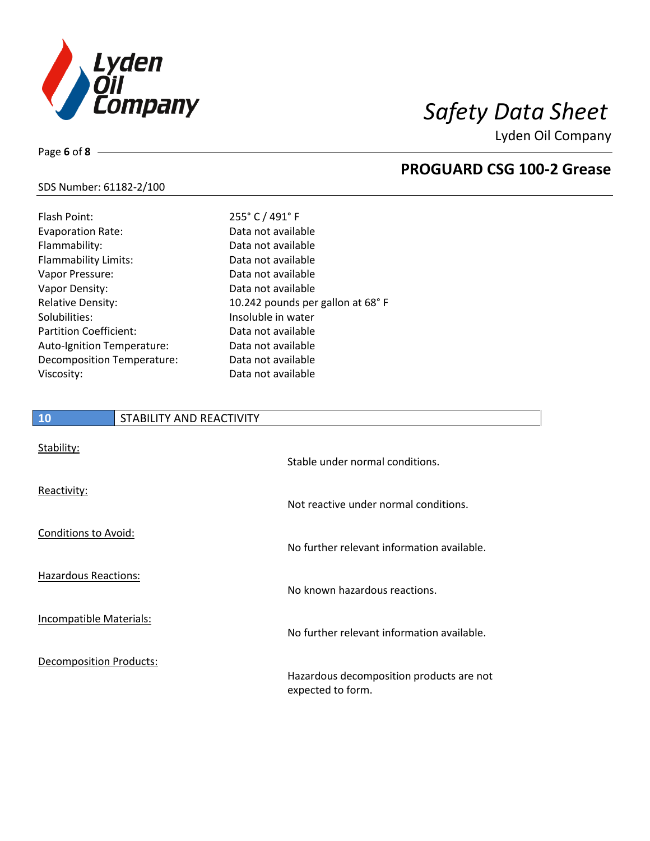

Lyden Oil Company

### SDS Number: 61182-2/100

Page **6** of **8**

| Flash Point:                  | 255° C / 491° F                   |
|-------------------------------|-----------------------------------|
| <b>Evaporation Rate:</b>      | Data not available                |
| Flammability:                 | Data not available                |
| Flammability Limits:          | Data not available                |
| Vapor Pressure:               | Data not available                |
| Vapor Density:                | Data not available                |
| <b>Relative Density:</b>      | 10.242 pounds per gallon at 68° F |
| Solubilities:                 | Insoluble in water                |
| <b>Partition Coefficient:</b> | Data not available                |
| Auto-Ignition Temperature:    | Data not available                |
| Decomposition Temperature:    | Data not available                |
| Viscosity:                    | Data not available                |

# **10** STABILITY AND REACTIVITY Stability: Stable under normal conditions. Reactivity: Not reactive under normal conditions. Conditions to Avoid: No further relevant information available. Hazardous Reactions: No known hazardous reactions. Incompatible Materials: No further relevant information available. Decomposition Products: Hazardous decomposition products are not expected to form.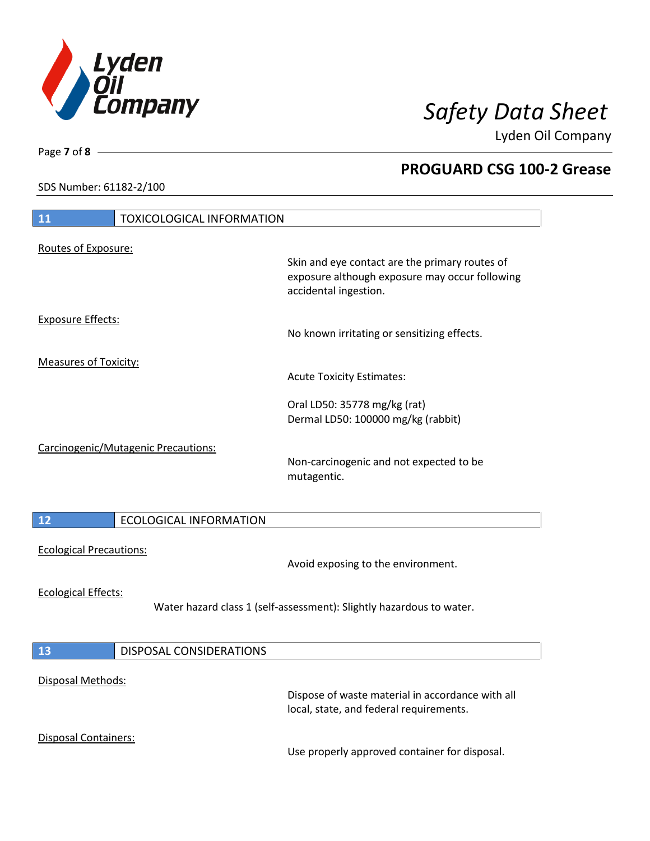

Lyden Oil Company

SDS Number: 61182-2/100

# **11** TOXICOLOGICAL INFORMATION Routes of Exposure: Skin and eye contact are the primary routes of exposure although exposure may occur following accidental ingestion. Exposure Effects: No known irritating or sensitizing effects. Measures of Toxicity: Acute Toxicity Estimates: Oral LD50: 35778 mg/kg (rat) Dermal LD50: 100000 mg/kg (rabbit) Carcinogenic/Mutagenic Precautions: Non-carcinogenic and not expected to be mutagentic. **12** ECOLOGICAL INFORMATION Ecological Precautions: Avoid exposing to the environment. Ecological Effects: Water hazard class 1 (self-assessment): Slightly hazardous to water. **13** DISPOSAL CONSIDERATIONS Disposal Methods: Dispose of waste material in accordance with all local, state, and federal requirements. Disposal Containers: Use properly approved container for disposal.

Page **7** of **8**